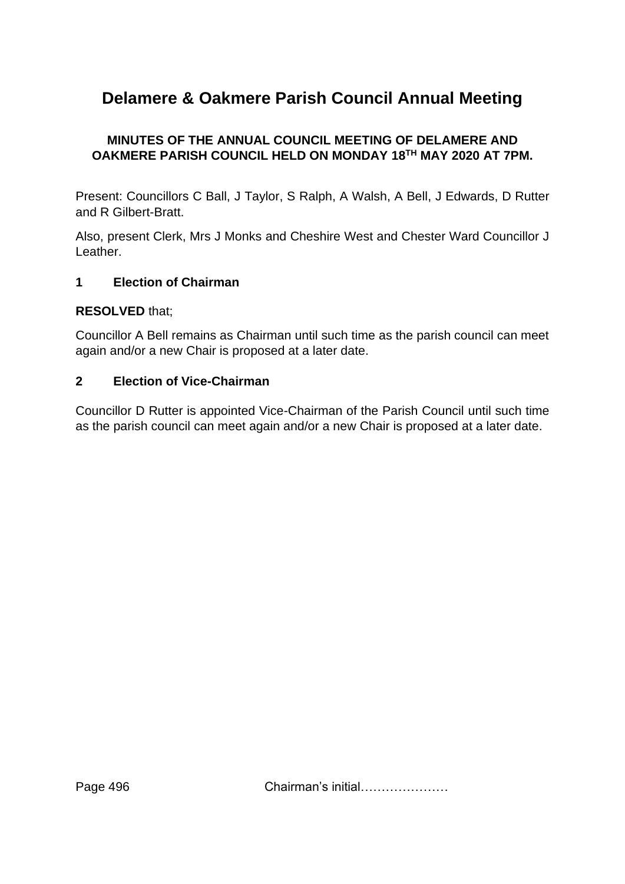# **Delamere & Oakmere Parish Council Annual Meeting**

# **MINUTES OF THE ANNUAL COUNCIL MEETING OF DELAMERE AND OAKMERE PARISH COUNCIL HELD ON MONDAY 18TH MAY 2020 AT 7PM.**

Present: Councillors C Ball, J Taylor, S Ralph, A Walsh, A Bell, J Edwards, D Rutter and R Gilbert-Bratt.

Also, present Clerk, Mrs J Monks and Cheshire West and Chester Ward Councillor J Leather.

#### **1 Election of Chairman**

#### **RESOLVED** that;

Councillor A Bell remains as Chairman until such time as the parish council can meet again and/or a new Chair is proposed at a later date.

#### **2 Election of Vice-Chairman**

Councillor D Rutter is appointed Vice-Chairman of the Parish Council until such time as the parish council can meet again and/or a new Chair is proposed at a later date.

Page 496 **Chairman's initial…………………**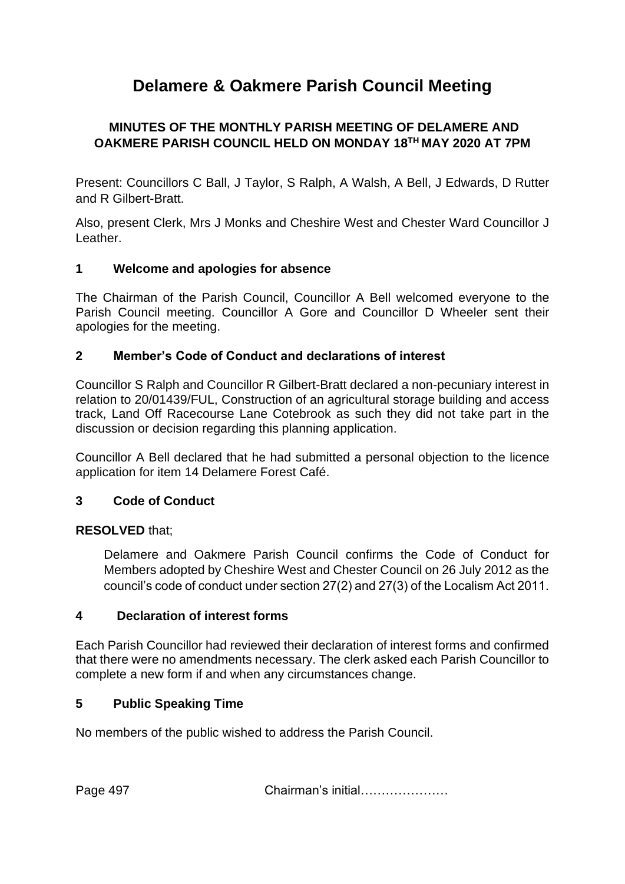# **Delamere & Oakmere Parish Council Meeting**

# **MINUTES OF THE MONTHLY PARISH MEETING OF DELAMERE AND OAKMERE PARISH COUNCIL HELD ON MONDAY 18TH MAY 2020 AT 7PM**

Present: Councillors C Ball, J Taylor, S Ralph, A Walsh, A Bell, J Edwards, D Rutter and R Gilbert-Bratt.

Also, present Clerk, Mrs J Monks and Cheshire West and Chester Ward Councillor J Leather.

# **1 Welcome and apologies for absence**

The Chairman of the Parish Council, Councillor A Bell welcomed everyone to the Parish Council meeting. Councillor A Gore and Councillor D Wheeler sent their apologies for the meeting.

#### **2 Member's Code of Conduct and declarations of interest**

Councillor S Ralph and Councillor R Gilbert-Bratt declared a non-pecuniary interest in relation to 20/01439/FUL, Construction of an agricultural storage building and access track, Land Off Racecourse Lane Cotebrook as such they did not take part in the discussion or decision regarding this planning application.

Councillor A Bell declared that he had submitted a personal objection to the licence application for item 14 Delamere Forest Café.

# **3 Code of Conduct**

#### **RESOLVED** that;

Delamere and Oakmere Parish Council confirms the Code of Conduct for Members adopted by Cheshire West and Chester Council on 26 July 2012 as the council's code of conduct under section 27(2) and 27(3) of the Localism Act 2011.

#### **4 Declaration of interest forms**

Each Parish Councillor had reviewed their declaration of interest forms and confirmed that there were no amendments necessary. The clerk asked each Parish Councillor to complete a new form if and when any circumstances change.

#### **5 Public Speaking Time**

No members of the public wished to address the Parish Council.

Page 497 Chairman's initial…………………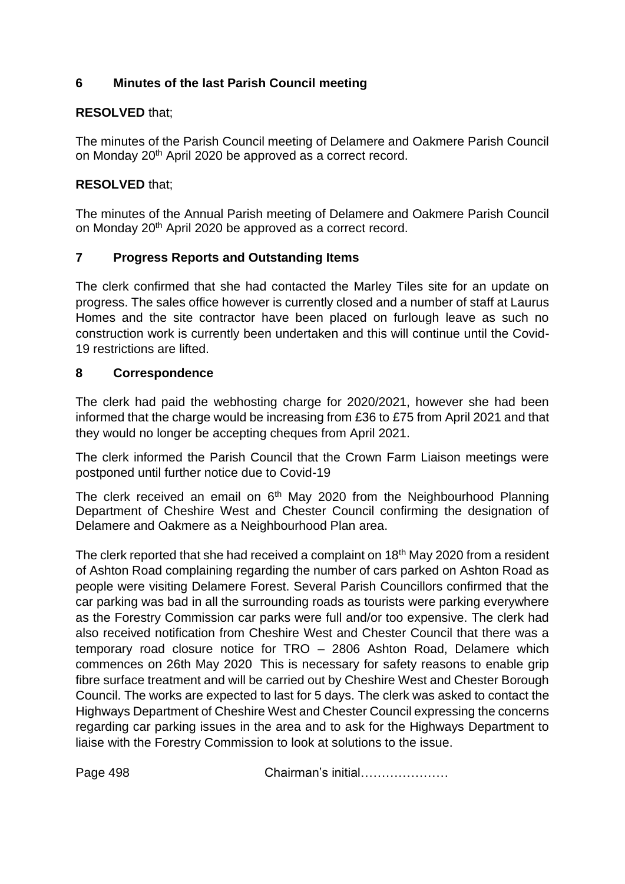# **6 Minutes of the last Parish Council meeting**

# **RESOLVED** that;

The minutes of the Parish Council meeting of Delamere and Oakmere Parish Council on Monday 20th April 2020 be approved as a correct record.

#### **RESOLVED** that;

The minutes of the Annual Parish meeting of Delamere and Oakmere Parish Council on Monday 20<sup>th</sup> April 2020 be approved as a correct record.

# **7 Progress Reports and Outstanding Items**

The clerk confirmed that she had contacted the Marley Tiles site for an update on progress. The sales office however is currently closed and a number of staff at Laurus Homes and the site contractor have been placed on furlough leave as such no construction work is currently been undertaken and this will continue until the Covid-19 restrictions are lifted.

#### **8 Correspondence**

The clerk had paid the webhosting charge for 2020/2021, however she had been informed that the charge would be increasing from £36 to £75 from April 2021 and that they would no longer be accepting cheques from April 2021.

The clerk informed the Parish Council that the Crown Farm Liaison meetings were postponed until further notice due to Covid-19

The clerk received an email on  $6<sup>th</sup>$  May 2020 from the Neighbourhood Planning Department of Cheshire West and Chester Council confirming the designation of Delamere and Oakmere as a Neighbourhood Plan area.

The clerk reported that she had received a complaint on 18<sup>th</sup> May 2020 from a resident of Ashton Road complaining regarding the number of cars parked on Ashton Road as people were visiting Delamere Forest. Several Parish Councillors confirmed that the car parking was bad in all the surrounding roads as tourists were parking everywhere as the Forestry Commission car parks were full and/or too expensive. The clerk had also received notification from Cheshire West and Chester Council that there was a temporary road closure notice for TRO – 2806 Ashton Road, Delamere which commences on 26th May 2020 This is necessary for safety reasons to enable grip fibre surface treatment and will be carried out by Cheshire West and Chester Borough Council. The works are expected to last for 5 days. The clerk was asked to contact the Highways Department of Cheshire West and Chester Council expressing the concerns regarding car parking issues in the area and to ask for the Highways Department to liaise with the Forestry Commission to look at solutions to the issue.

Page 498 Chairman's initial…………………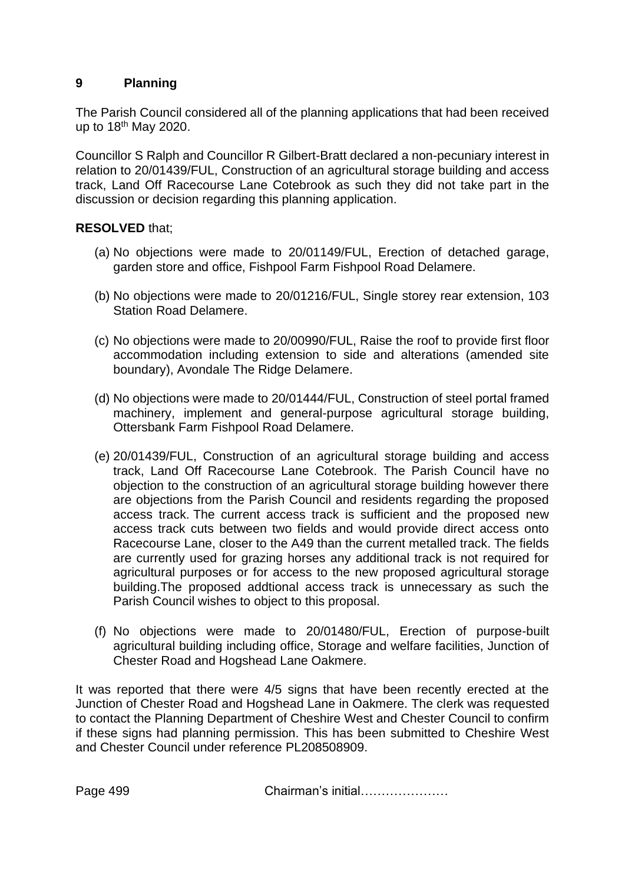# **9 Planning**

The Parish Council considered all of the planning applications that had been received up to 18th May 2020.

Councillor S Ralph and Councillor R Gilbert-Bratt declared a non-pecuniary interest in relation to 20/01439/FUL, Construction of an agricultural storage building and access track, Land Off Racecourse Lane Cotebrook as such they did not take part in the discussion or decision regarding this planning application.

# **RESOLVED** that;

- (a) No objections were made to 20/01149/FUL, Erection of detached garage, garden store and office, Fishpool Farm Fishpool Road Delamere.
- (b) No objections were made to 20/01216/FUL, Single storey rear extension, 103 Station Road Delamere.
- (c) No objections were made to 20/00990/FUL, Raise the roof to provide first floor accommodation including extension to side and alterations (amended site boundary), Avondale The Ridge Delamere.
- (d) No objections were made to 20/01444/FUL, Construction of steel portal framed machinery, implement and general-purpose agricultural storage building, Ottersbank Farm Fishpool Road Delamere.
- (e) 20/01439/FUL, Construction of an agricultural storage building and access track, Land Off Racecourse Lane Cotebrook. The Parish Council have no objection to the construction of an agricultural storage building however there are objections from the Parish Council and residents regarding the proposed access track. The current access track is sufficient and the proposed new access track cuts between two fields and would provide direct access onto Racecourse Lane, closer to the A49 than the current metalled track. The fields are currently used for grazing horses any additional track is not required for agricultural purposes or for access to the new proposed agricultural storage building.The proposed addtional access track is unnecessary as such the Parish Council wishes to object to this proposal.
- (f) No objections were made to 20/01480/FUL, Erection of purpose-built agricultural building including office, Storage and welfare facilities, Junction of Chester Road and Hogshead Lane Oakmere.

It was reported that there were 4/5 signs that have been recently erected at the Junction of Chester Road and Hogshead Lane in Oakmere. The clerk was requested to contact the Planning Department of Cheshire West and Chester Council to confirm if these signs had planning permission. This has been submitted to Cheshire West and Chester Council under reference PL208508909.

Page 499 Chairman's initial…………………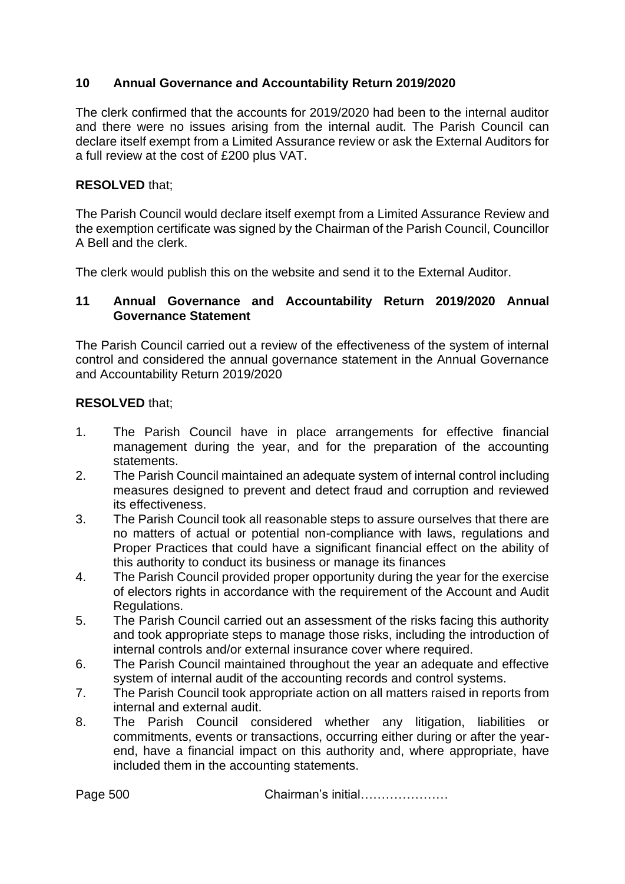# **10 Annual Governance and Accountability Return 2019/2020**

The clerk confirmed that the accounts for 2019/2020 had been to the internal auditor and there were no issues arising from the internal audit. The Parish Council can declare itself exempt from a Limited Assurance review or ask the External Auditors for a full review at the cost of £200 plus VAT.

#### **RESOLVED** that;

The Parish Council would declare itself exempt from a Limited Assurance Review and the exemption certificate was signed by the Chairman of the Parish Council, Councillor A Bell and the clerk.

The clerk would publish this on the website and send it to the External Auditor.

#### **11 Annual Governance and Accountability Return 2019/2020 Annual Governance Statement**

The Parish Council carried out a review of the effectiveness of the system of internal control and considered the annual governance statement in the Annual Governance and Accountability Return 2019/2020

#### **RESOLVED** that;

- 1. The Parish Council have in place arrangements for effective financial management during the year, and for the preparation of the accounting statements.
- 2. The Parish Council maintained an adequate system of internal control including measures designed to prevent and detect fraud and corruption and reviewed its effectiveness.
- 3. The Parish Council took all reasonable steps to assure ourselves that there are no matters of actual or potential non-compliance with laws, regulations and Proper Practices that could have a significant financial effect on the ability of this authority to conduct its business or manage its finances
- 4. The Parish Council provided proper opportunity during the year for the exercise of electors rights in accordance with the requirement of the Account and Audit Regulations.
- 5. The Parish Council carried out an assessment of the risks facing this authority and took appropriate steps to manage those risks, including the introduction of internal controls and/or external insurance cover where required.
- 6. The Parish Council maintained throughout the year an adequate and effective system of internal audit of the accounting records and control systems.
- 7. The Parish Council took appropriate action on all matters raised in reports from internal and external audit.
- 8. The Parish Council considered whether any litigation, liabilities or commitments, events or transactions, occurring either during or after the yearend, have a financial impact on this authority and, where appropriate, have included them in the accounting statements.

Page 500 Chairman's initial…………………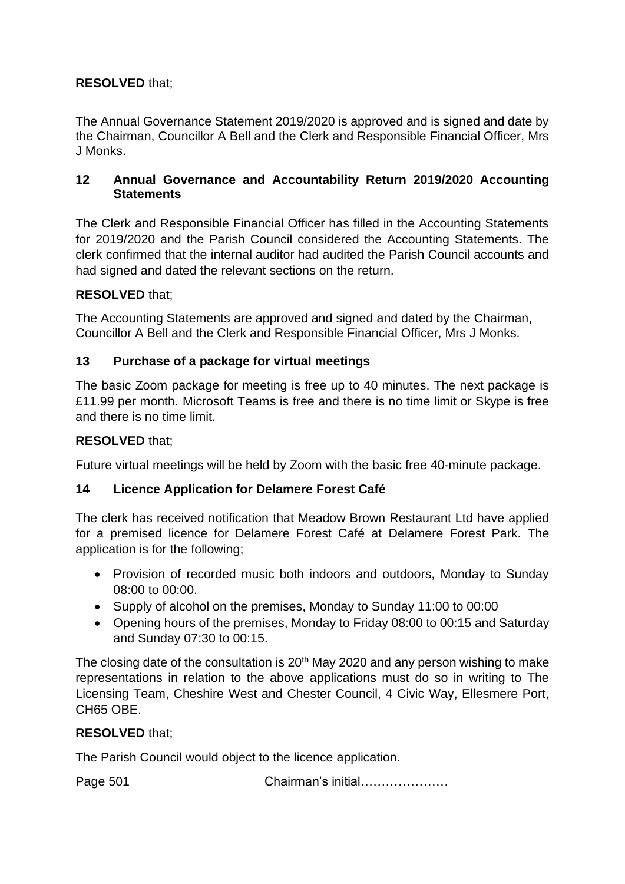# **RESOLVED** that;

The Annual Governance Statement 2019/2020 is approved and is signed and date by the Chairman, Councillor A Bell and the Clerk and Responsible Financial Officer, Mrs J Monks.

#### **12 Annual Governance and Accountability Return 2019/2020 Accounting Statements**

The Clerk and Responsible Financial Officer has filled in the Accounting Statements for 2019/2020 and the Parish Council considered the Accounting Statements. The clerk confirmed that the internal auditor had audited the Parish Council accounts and had signed and dated the relevant sections on the return.

# **RESOLVED** that;

The Accounting Statements are approved and signed and dated by the Chairman, Councillor A Bell and the Clerk and Responsible Financial Officer, Mrs J Monks.

# **13 Purchase of a package for virtual meetings**

The basic Zoom package for meeting is free up to 40 minutes. The next package is £11.99 per month. Microsoft Teams is free and there is no time limit or Skype is free and there is no time limit.

#### **RESOLVED** that;

Future virtual meetings will be held by Zoom with the basic free 40-minute package.

# **14 Licence Application for Delamere Forest Café**

The clerk has received notification that Meadow Brown Restaurant Ltd have applied for a premised licence for Delamere Forest Café at Delamere Forest Park. The application is for the following;

- Provision of recorded music both indoors and outdoors, Monday to Sunday 08:00 to 00:00.
- Supply of alcohol on the premises, Monday to Sunday 11:00 to 00:00
- Opening hours of the premises, Monday to Friday 08:00 to 00:15 and Saturday and Sunday 07:30 to 00:15.

The closing date of the consultation is 20<sup>th</sup> May 2020 and any person wishing to make representations in relation to the above applications must do so in writing to The Licensing Team, Cheshire West and Chester Council, 4 Civic Way, Ellesmere Port, CH65 OBE.

# **RESOLVED** that;

The Parish Council would object to the licence application.

Page 501 Chairman's initial…………………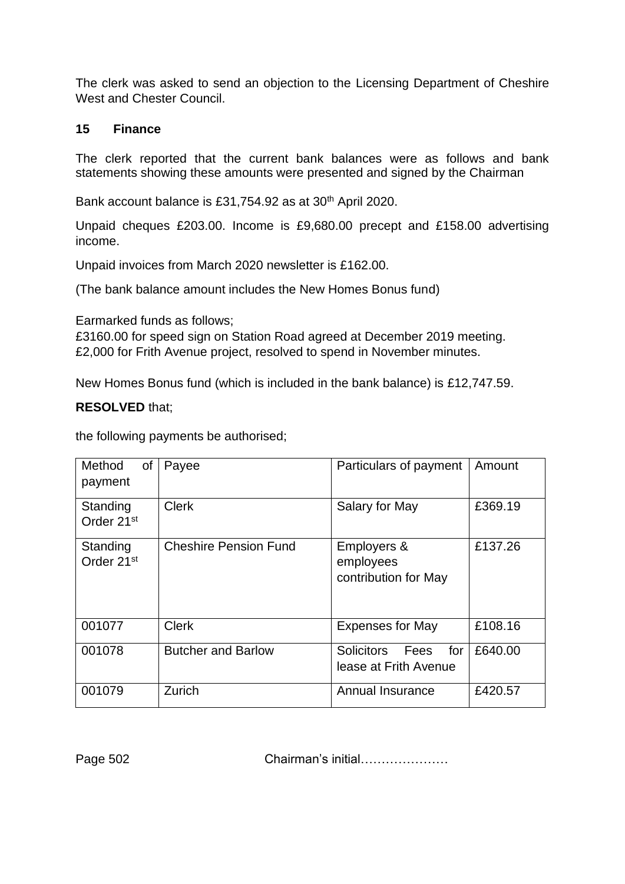The clerk was asked to send an objection to the Licensing Department of Cheshire West and Chester Council.

#### **15 Finance**

The clerk reported that the current bank balances were as follows and bank statements showing these amounts were presented and signed by the Chairman

Bank account balance is £31,754.92 as at 30<sup>th</sup> April 2020.

Unpaid cheques £203.00. Income is £9,680.00 precept and £158.00 advertising income.

Unpaid invoices from March 2020 newsletter is £162.00.

(The bank balance amount includes the New Homes Bonus fund)

Earmarked funds as follows;

£3160.00 for speed sign on Station Road agreed at December 2019 meeting. £2,000 for Frith Avenue project, resolved to spend in November minutes.

New Homes Bonus fund (which is included in the bank balance) is £12,747.59.

#### **RESOLVED** that;

the following payments be authorised;

| Method<br><b>of</b><br>payment     | Payee                        | Particulars of payment                                           | Amount  |
|------------------------------------|------------------------------|------------------------------------------------------------------|---------|
| Standing<br>Order 21 <sup>st</sup> | <b>Clerk</b>                 | Salary for May                                                   | £369.19 |
| Standing<br>Order 21 <sup>st</sup> | <b>Cheshire Pension Fund</b> | Employers &<br>employees<br>contribution for May                 | £137.26 |
| 001077                             | <b>Clerk</b>                 | <b>Expenses for May</b>                                          | £108.16 |
| 001078                             | <b>Butcher and Barlow</b>    | <b>Solicitors</b><br>for<br><b>Fees</b><br>lease at Frith Avenue | £640.00 |
| 001079                             | Zurich                       | Annual Insurance                                                 | £420.57 |

Page 502 Chairman's initial…………………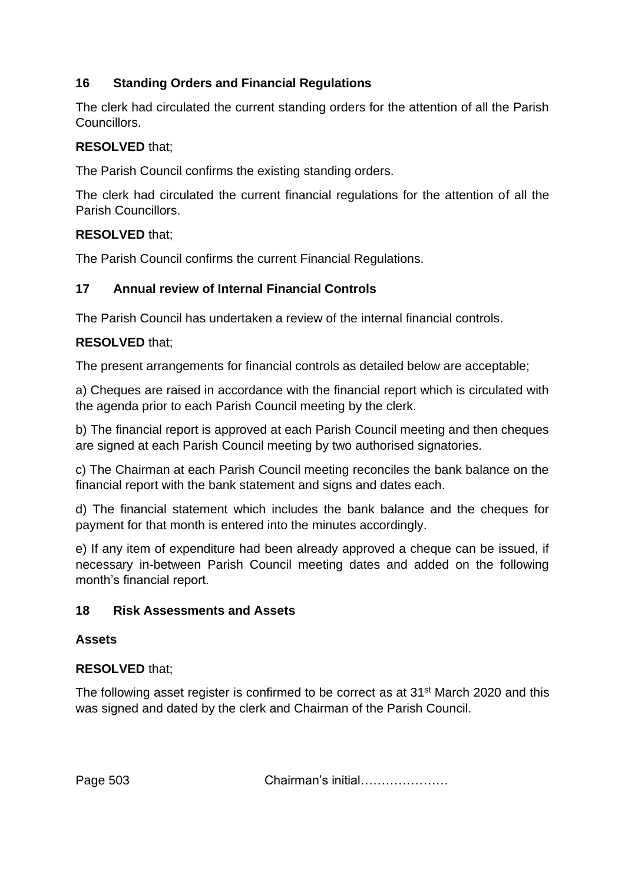# **16 Standing Orders and Financial Regulations**

The clerk had circulated the current standing orders for the attention of all the Parish Councillors.

# **RESOLVED** that;

The Parish Council confirms the existing standing orders.

The clerk had circulated the current financial regulations for the attention of all the Parish Councillors.

#### **RESOLVED** that;

The Parish Council confirms the current Financial Regulations.

#### **17 Annual review of Internal Financial Controls**

The Parish Council has undertaken a review of the internal financial controls.

#### **RESOLVED** that;

The present arrangements for financial controls as detailed below are acceptable;

a) Cheques are raised in accordance with the financial report which is circulated with the agenda prior to each Parish Council meeting by the clerk.

b) The financial report is approved at each Parish Council meeting and then cheques are signed at each Parish Council meeting by two authorised signatories.

c) The Chairman at each Parish Council meeting reconciles the bank balance on the financial report with the bank statement and signs and dates each.

d) The financial statement which includes the bank balance and the cheques for payment for that month is entered into the minutes accordingly.

e) If any item of expenditure had been already approved a cheque can be issued, if necessary in-between Parish Council meeting dates and added on the following month's financial report.

#### **18 Risk Assessments and Assets**

#### **Assets**

# **RESOLVED** that;

The following asset register is confirmed to be correct as at 31<sup>st</sup> March 2020 and this was signed and dated by the clerk and Chairman of the Parish Council.

Page 503 Chairman's initial…………………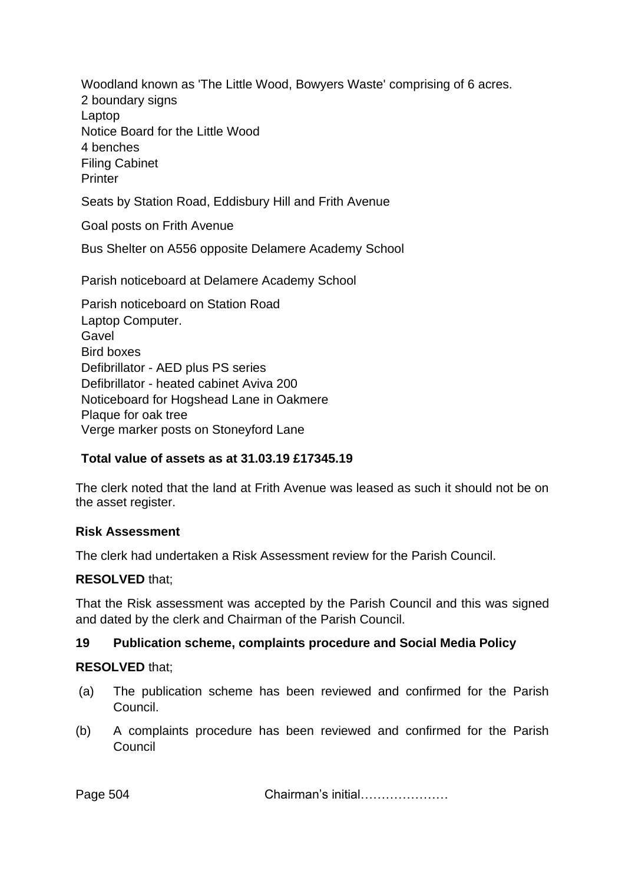Woodland known as 'The Little Wood, Bowyers Waste' comprising of 6 acres. 2 boundary signs Laptop Notice Board for the Little Wood 4 benches Filing Cabinet **Printer** 

Seats by Station Road, Eddisbury Hill and Frith Avenue

Goal posts on Frith Avenue

Bus Shelter on A556 opposite Delamere Academy School

Parish noticeboard at Delamere Academy School

Parish noticeboard on Station Road Laptop Computer. Gavel Bird boxes Defibrillator - AED plus PS series Defibrillator - heated cabinet Aviva 200 Noticeboard for Hogshead Lane in Oakmere Plaque for oak tree Verge marker posts on Stoneyford Lane

#### **Total value of assets as at 31.03.19 £17345.19**

The clerk noted that the land at Frith Avenue was leased as such it should not be on the asset register.

#### **Risk Assessment**

The clerk had undertaken a Risk Assessment review for the Parish Council.

# **RESOLVED** that;

That the Risk assessment was accepted by the Parish Council and this was signed and dated by the clerk and Chairman of the Parish Council.

# **19 Publication scheme, complaints procedure and Social Media Policy**

# **RESOLVED** that;

- (a) The publication scheme has been reviewed and confirmed for the Parish Council.
- (b) A complaints procedure has been reviewed and confirmed for the Parish Council

Page 504 Chairman's initial…………………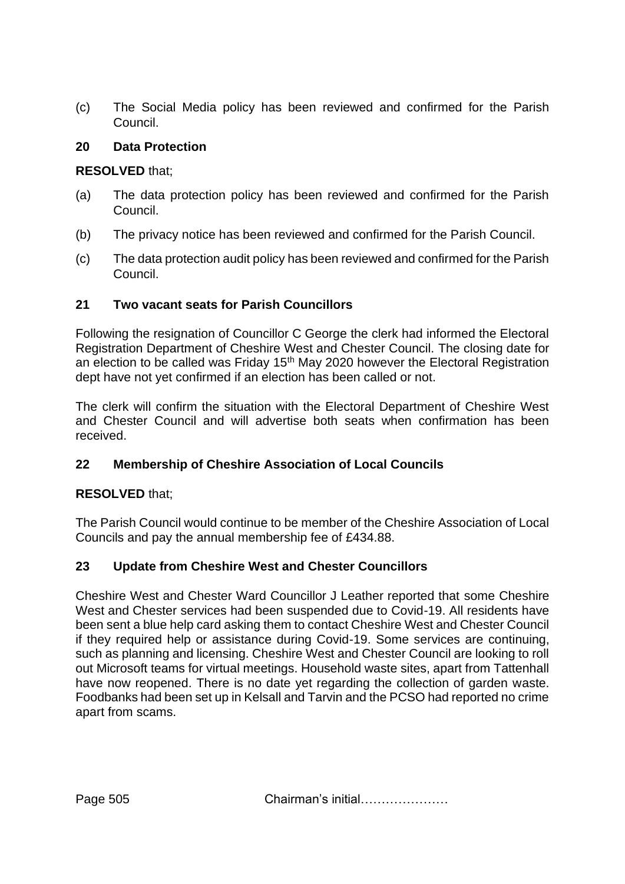(c) The Social Media policy has been reviewed and confirmed for the Parish Council.

#### **20 Data Protection**

#### **RESOLVED** that;

- (a) The data protection policy has been reviewed and confirmed for the Parish Council.
- (b) The privacy notice has been reviewed and confirmed for the Parish Council.
- (c) The data protection audit policy has been reviewed and confirmed for the Parish Council.

# **21 Two vacant seats for Parish Councillors**

Following the resignation of Councillor C George the clerk had informed the Electoral Registration Department of Cheshire West and Chester Council. The closing date for an election to be called was Friday 15<sup>th</sup> May 2020 however the Electoral Registration dept have not yet confirmed if an election has been called or not.

The clerk will confirm the situation with the Electoral Department of Cheshire West and Chester Council and will advertise both seats when confirmation has been received.

# **22 Membership of Cheshire Association of Local Councils**

# **RESOLVED** that;

The Parish Council would continue to be member of the Cheshire Association of Local Councils and pay the annual membership fee of £434.88.

# **23 Update from Cheshire West and Chester Councillors**

Cheshire West and Chester Ward Councillor J Leather reported that some Cheshire West and Chester services had been suspended due to Covid-19. All residents have been sent a blue help card asking them to contact Cheshire West and Chester Council if they required help or assistance during Covid-19. Some services are continuing, such as planning and licensing. Cheshire West and Chester Council are looking to roll out Microsoft teams for virtual meetings. Household waste sites, apart from Tattenhall have now reopened. There is no date yet regarding the collection of garden waste. Foodbanks had been set up in Kelsall and Tarvin and the PCSO had reported no crime apart from scams.